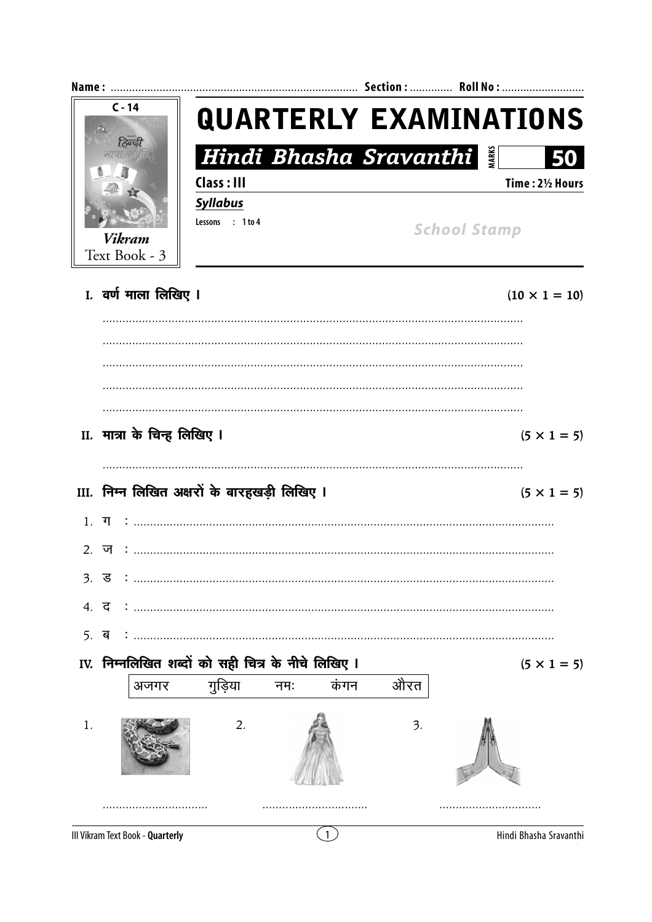|                                | $C - 14$<br>$A\overline{A}$<br>हिन्द                    |          |                                              |     |      | <b>QUARTERLY EXAMINATIONS</b> |                        |                    |
|--------------------------------|---------------------------------------------------------|----------|----------------------------------------------|-----|------|-------------------------------|------------------------|--------------------|
|                                |                                                         | भाषा स्थ |                                              |     |      |                               | Hindi Bhasha Sravanthi |                    |
| <b>Vikram</b><br>Text Book - 3 |                                                         |          | Class: III                                   |     |      |                               |                        | Time: 21/2 Hours   |
|                                |                                                         |          | <b>Syllabus</b><br>Lessons : 1 to 4          |     |      | <b>School Stamp</b>           |                        |                    |
|                                |                                                         |          |                                              |     |      |                               |                        |                    |
|                                |                                                         |          |                                              |     |      |                               |                        |                    |
|                                |                                                         |          |                                              |     |      |                               |                        |                    |
|                                |                                                         |          |                                              |     |      |                               |                        |                    |
|                                |                                                         |          |                                              |     |      |                               |                        |                    |
| II. मात्रा के चिन्ह लिखिए I    |                                                         |          |                                              |     |      |                               |                        | $(5 \times 1 = 5)$ |
|                                |                                                         |          |                                              |     |      |                               |                        |                    |
|                                |                                                         |          | III. निम्न लिखित अक्षरों के बारहखड़ी लिखिए I |     |      |                               |                        | $(5 \times 1 = 5)$ |
|                                |                                                         |          | $1. \top $                                   |     |      |                               |                        |                    |
|                                | 2. ज                                                    |          |                                              |     |      |                               |                        |                    |
| $\mathfrak{Z}$ .               | ड                                                       |          |                                              |     |      |                               |                        |                    |
|                                |                                                         |          |                                              |     |      |                               |                        |                    |
| 5.                             |                                                         |          |                                              |     |      |                               |                        |                    |
|                                | ब<br>IV. निम्नलिखित शब्दों को सही चित्र के नीचे लिखिए I |          |                                              |     |      |                               |                        |                    |
|                                |                                                         | अजगर     | गुड़िया                                      | नमः | कंगन | औरत                           |                        | $(5 \times 1 = 5)$ |
|                                |                                                         |          |                                              |     |      |                               |                        |                    |
| 1.                             |                                                         |          | 2.                                           |     |      | 3.                            |                        |                    |
|                                |                                                         |          |                                              |     |      |                               |                        |                    |

Hindi Bhasha Sravanthi